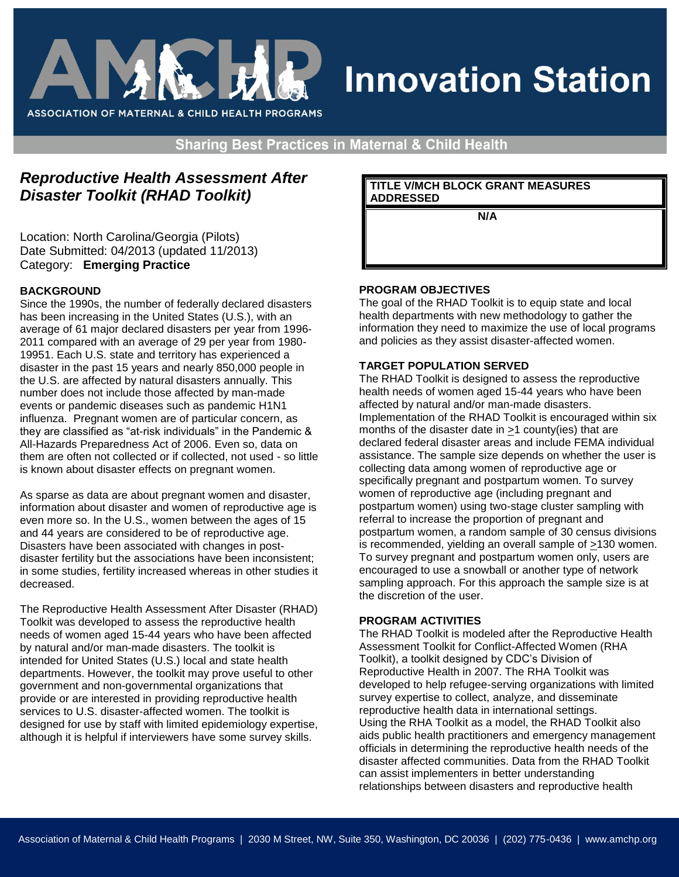

# **Innovation Station**

**Sharing Best Practices in Maternal & Child Health** 

## *Reproductive Health Assessment After Disaster Toolkit (RHAD Toolkit)*

Location: North Carolina/Georgia (Pilots) Date Submitted: 04/2013 (updated 11/2013) Category: **Emerging Practice**

#### **BACKGROUND**

Since the 1990s, the number of federally declared disasters has been increasing in the United States (U.S.), with an average of 61 major declared disasters per year from 1996- 2011 compared with an average of 29 per year from 1980- 19951. Each U.S. state and territory has experienced a disaster in the past 15 years and nearly 850,000 people in the U.S. are affected by natural disasters annually. This number does not include those affected by man-made events or pandemic diseases such as pandemic H1N1 influenza. Pregnant women are of particular concern, as they are classified as "at-risk individuals" in the Pandemic & All-Hazards Preparedness Act of 2006. Even so, data on them are often not collected or if collected, not used - so little is known about disaster effects on pregnant women.

As sparse as data are about pregnant women and disaster, information about disaster and women of reproductive age is even more so. In the U.S., women between the ages of 15 and 44 years are considered to be of reproductive age. Disasters have been associated with changes in postdisaster fertility but the associations have been inconsistent; in some studies, fertility increased whereas in other studies it decreased.

The Reproductive Health Assessment After Disaster (RHAD) Toolkit was developed to assess the reproductive health needs of women aged 15-44 years who have been affected by natural and/or man-made disasters. The toolkit is intended for United States (U.S.) local and state health departments. However, the toolkit may prove useful to other government and non-governmental organizations that provide or are interested in providing reproductive health services to U.S. disaster-affected women. The toolkit is designed for use by staff with limited epidemiology expertise, although it is helpful if interviewers have some survey skills.

**TITLE V/MCH BLOCK GRANT MEASURES ADDRESSED** 

 **N/A**

#### **PROGRAM OBJECTIVES**

The goal of the RHAD Toolkit is to equip state and local health departments with new methodology to gather the information they need to maximize the use of local programs and policies as they assist disaster-affected women.

### **TARGET POPULATION SERVED**

The RHAD Toolkit is designed to assess the reproductive health needs of women aged 15-44 years who have been affected by natural and/or man-made disasters. Implementation of the RHAD Toolkit is encouraged within six months of the disaster date in >1 county(ies) that are declared federal disaster areas and include FEMA individual assistance. The sample size depends on whether the user is collecting data among women of reproductive age or specifically pregnant and postpartum women. To survey women of reproductive age (including pregnant and postpartum women) using two-stage cluster sampling with referral to increase the proportion of pregnant and postpartum women, a random sample of 30 census divisions is recommended, yielding an overall sample of >130 women. To survey pregnant and postpartum women only, users are encouraged to use a snowball or another type of network sampling approach. For this approach the sample size is at the discretion of the user.

#### **PROGRAM ACTIVITIES**

The RHAD Toolkit is modeled after the Reproductive Health Assessment Toolkit for Conflict-Affected Women (RHA Toolkit), a toolkit designed by CDC's Division of Reproductive Health in 2007. The RHA Toolkit was developed to help refugee-serving organizations with limited survey expertise to collect, analyze, and disseminate reproductive health data in international settings. Using the RHA Toolkit as a model, the RHAD Toolkit also aids public health practitioners and emergency management officials in determining the reproductive health needs of the disaster affected communities. Data from the RHAD Toolkit can assist implementers in better understanding relationships between disasters and reproductive health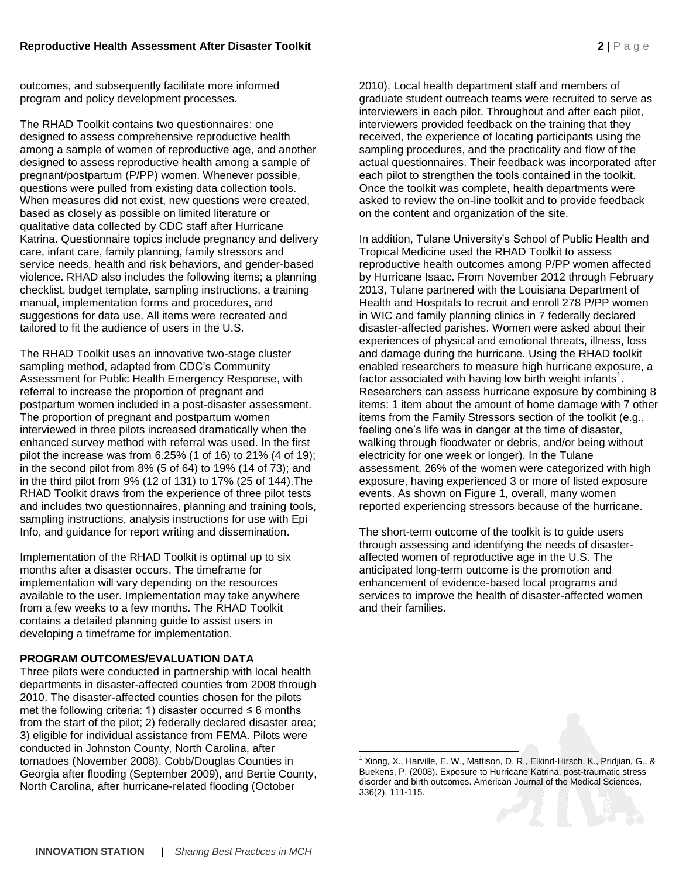outcomes, and subsequently facilitate more informed program and policy development processes.

The RHAD Toolkit contains two questionnaires: one designed to assess comprehensive reproductive health among a sample of women of reproductive age, and another designed to assess reproductive health among a sample of pregnant/postpartum (P/PP) women. Whenever possible, questions were pulled from existing data collection tools. When measures did not exist, new questions were created, based as closely as possible on limited literature or qualitative data collected by CDC staff after Hurricane Katrina. Questionnaire topics include pregnancy and delivery care, infant care, family planning, family stressors and service needs, health and risk behaviors, and gender-based violence. RHAD also includes the following items; a planning checklist, budget template, sampling instructions, a training manual, implementation forms and procedures, and suggestions for data use. All items were recreated and tailored to fit the audience of users in the U.S.

The RHAD Toolkit uses an innovative two-stage cluster sampling method, adapted from CDC's Community Assessment for Public Health Emergency Response, with referral to increase the proportion of pregnant and postpartum women included in a post-disaster assessment. The proportion of pregnant and postpartum women interviewed in three pilots increased dramatically when the enhanced survey method with referral was used. In the first pilot the increase was from 6.25% (1 of 16) to 21% (4 of 19); in the second pilot from 8% (5 of 64) to 19% (14 of 73); and in the third pilot from 9% (12 of 131) to 17% (25 of 144).The RHAD Toolkit draws from the experience of three pilot tests and includes two questionnaires, planning and training tools, sampling instructions, analysis instructions for use with Epi Info, and guidance for report writing and dissemination.

Implementation of the RHAD Toolkit is optimal up to six months after a disaster occurs. The timeframe for implementation will vary depending on the resources available to the user. Implementation may take anywhere from a few weeks to a few months. The RHAD Toolkit contains a detailed planning guide to assist users in developing a timeframe for implementation.

#### **PROGRAM OUTCOMES/EVALUATION DATA**

Three pilots were conducted in partnership with local health departments in disaster-affected counties from 2008 through 2010. The disaster-affected counties chosen for the pilots met the following criteria: 1) disaster occurred  $\leq 6$  months from the start of the pilot; 2) federally declared disaster area; 3) eligible for individual assistance from FEMA. Pilots were conducted in Johnston County, North Carolina, after tornadoes (November 2008), Cobb/Douglas Counties in Georgia after flooding (September 2009), and Bertie County, North Carolina, after hurricane-related flooding (October

2010). Local health department staff and members of graduate student outreach teams were recruited to serve as interviewers in each pilot. Throughout and after each pilot, interviewers provided feedback on the training that they received, the experience of locating participants using the sampling procedures, and the practicality and flow of the actual questionnaires. Their feedback was incorporated after each pilot to strengthen the tools contained in the toolkit. Once the toolkit was complete, health departments were asked to review the on-line toolkit and to provide feedback on the content and organization of the site.

In addition, Tulane University's School of Public Health and Tropical Medicine used the RHAD Toolkit to assess reproductive health outcomes among P/PP women affected by Hurricane Isaac. From November 2012 through February 2013, Tulane partnered with the Louisiana Department of Health and Hospitals to recruit and enroll 278 P/PP women in WIC and family planning clinics in 7 federally declared disaster-affected parishes. Women were asked about their experiences of physical and emotional threats, illness, loss and damage during the hurricane. Using the RHAD toolkit enabled researchers to measure high hurricane exposure, a factor associated with having low birth weight infants<sup>1</sup>. Researchers can assess hurricane exposure by combining 8 items: 1 item about the amount of home damage with 7 other items from the Family Stressors section of the toolkit (e.g., feeling one's life was in danger at the time of disaster, walking through floodwater or debris, and/or being without electricity for one week or longer). In the Tulane assessment, 26% of the women were categorized with high exposure, having experienced 3 or more of listed exposure events. As shown on Figure 1, overall, many women reported experiencing stressors because of the hurricane.

The short-term outcome of the toolkit is to guide users through assessing and identifying the needs of disasteraffected women of reproductive age in the U.S. The anticipated long-term outcome is the promotion and enhancement of evidence-based local programs and services to improve the health of disaster-affected women and their families.

l

<sup>1</sup> Xiong, X., Harville, E. W., Mattison, D. R., Elkind-Hirsch, K., Pridjian, G., & Buekens, P. (2008). Exposure to Hurricane Katrina, post-traumatic stress disorder and birth outcomes. American Journal of the Medical Sciences, 336(2), 111-115.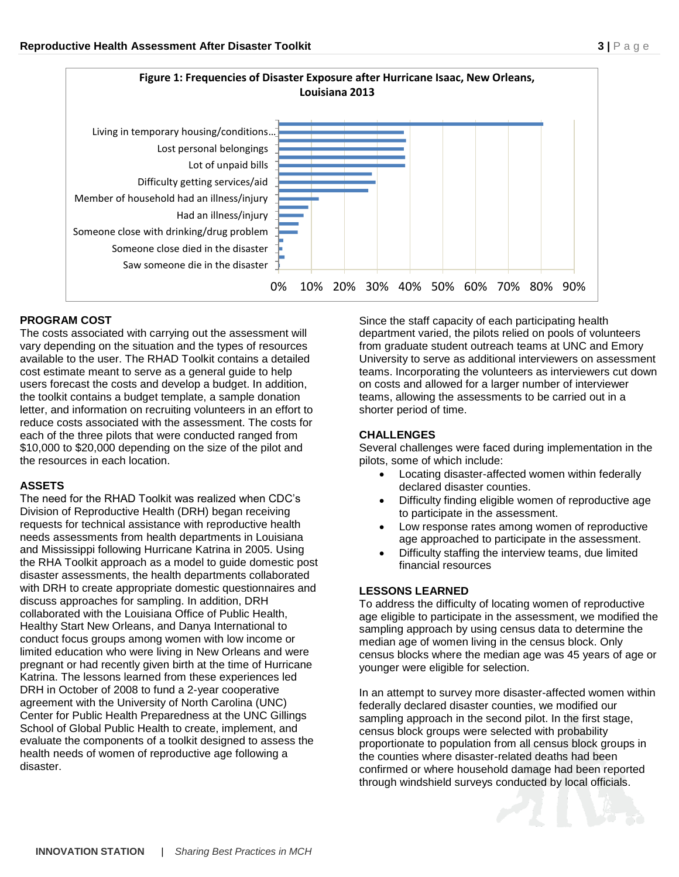

#### **PROGRAM COST**

The costs associated with carrying out the assessment will vary depending on the situation and the types of resources available to the user. The RHAD Toolkit contains a detailed cost estimate meant to serve as a general guide to help users forecast the costs and develop a budget. In addition, the toolkit contains a budget template, a sample donation letter, and information on recruiting volunteers in an effort to reduce costs associated with the assessment. The costs for each of the three pilots that were conducted ranged from \$10,000 to \$20,000 depending on the size of the pilot and the resources in each location.

#### **ASSETS**

The need for the RHAD Toolkit was realized when CDC's Division of Reproductive Health (DRH) began receiving requests for technical assistance with reproductive health needs assessments from health departments in Louisiana and Mississippi following Hurricane Katrina in 2005. Using the RHA Toolkit approach as a model to guide domestic post disaster assessments, the health departments collaborated with DRH to create appropriate domestic questionnaires and discuss approaches for sampling. In addition, DRH collaborated with the Louisiana Office of Public Health, Healthy Start New Orleans, and Danya International to conduct focus groups among women with low income or limited education who were living in New Orleans and were pregnant or had recently given birth at the time of Hurricane Katrina. The lessons learned from these experiences led DRH in October of 2008 to fund a 2-year cooperative agreement with the University of North Carolina (UNC) Center for Public Health Preparedness at the UNC Gillings School of Global Public Health to create, implement, and evaluate the components of a toolkit designed to assess the health needs of women of reproductive age following a disaster.

Since the staff capacity of each participating health department varied, the pilots relied on pools of volunteers from graduate student outreach teams at UNC and Emory University to serve as additional interviewers on assessment teams. Incorporating the volunteers as interviewers cut down on costs and allowed for a larger number of interviewer teams, allowing the assessments to be carried out in a shorter period of time.

### **CHALLENGES**

Several challenges were faced during implementation in the pilots, some of which include:

- Locating disaster-affected women within federally declared disaster counties.
- Difficulty finding eligible women of reproductive age to participate in the assessment.
- Low response rates among women of reproductive age approached to participate in the assessment.
- Difficulty staffing the interview teams, due limited financial resources

#### **LESSONS LEARNED**

To address the difficulty of locating women of reproductive age eligible to participate in the assessment, we modified the sampling approach by using census data to determine the median age of women living in the census block. Only census blocks where the median age was 45 years of age or younger were eligible for selection.

In an attempt to survey more disaster-affected women within federally declared disaster counties, we modified our sampling approach in the second pilot. In the first stage, census block groups were selected with probability proportionate to population from all census block groups in the counties where disaster-related deaths had been confirmed or where household damage had been reported through windshield surveys conducted by local officials.